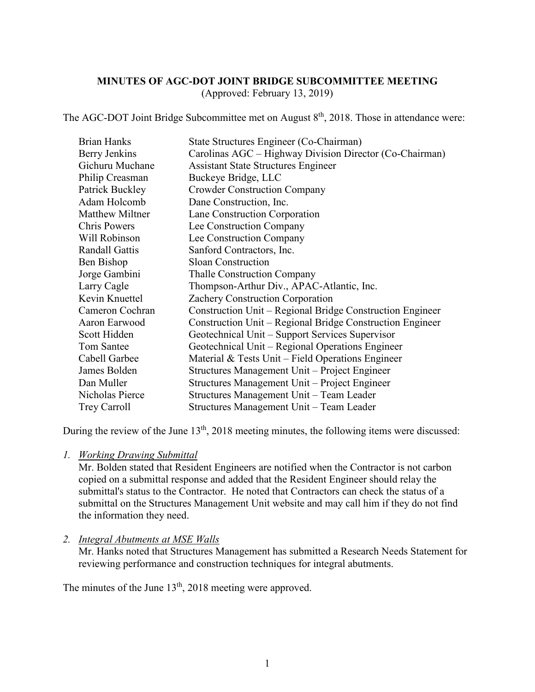#### **MINUTES OF AGC-DOT JOINT BRIDGE SUBCOMMITTEE MEETING** (Approved: February 13, 2019)

The AGC-DOT Joint Bridge Subcommittee met on August 8<sup>th</sup>, 2018. Those in attendance were:

| <b>Brian Hanks</b>     | State Structures Engineer (Co-Chairman)                   |
|------------------------|-----------------------------------------------------------|
| Berry Jenkins          | Carolinas AGC – Highway Division Director (Co-Chairman)   |
| Gichuru Muchane        | <b>Assistant State Structures Engineer</b>                |
| Philip Creasman        | Buckeye Bridge, LLC                                       |
| Patrick Buckley        | <b>Crowder Construction Company</b>                       |
| Adam Holcomb           | Dane Construction, Inc.                                   |
| <b>Matthew Miltner</b> | Lane Construction Corporation                             |
| <b>Chris Powers</b>    | Lee Construction Company                                  |
| Will Robinson          | Lee Construction Company                                  |
| <b>Randall Gattis</b>  | Sanford Contractors, Inc.                                 |
| Ben Bishop             | <b>Sloan Construction</b>                                 |
| Jorge Gambini          | <b>Thalle Construction Company</b>                        |
| Larry Cagle            | Thompson-Arthur Div., APAC-Atlantic, Inc.                 |
| Kevin Knuettel         | Zachery Construction Corporation                          |
| Cameron Cochran        | Construction Unit – Regional Bridge Construction Engineer |
| Aaron Earwood          | Construction Unit – Regional Bridge Construction Engineer |
| Scott Hidden           | Geotechnical Unit – Support Services Supervisor           |
| Tom Santee             | Geotechnical Unit – Regional Operations Engineer          |
| Cabell Garbee          | Material $& Tests Unit - Field Operations Engineering$    |
| James Bolden           | Structures Management Unit – Project Engineer             |
| Dan Muller             | Structures Management Unit – Project Engineer             |
| Nicholas Pierce        | Structures Management Unit – Team Leader                  |
| <b>Trey Carroll</b>    | Structures Management Unit – Team Leader                  |

During the review of the June 13<sup>th</sup>, 2018 meeting minutes, the following items were discussed:

*1. Working Drawing Submittal*

Mr. Bolden stated that Resident Engineers are notified when the Contractor is not carbon copied on a submittal response and added that the Resident Engineer should relay the submittal's status to the Contractor. He noted that Contractors can check the status of a submittal on the Structures Management Unit website and may call him if they do not find the information they need.

## *2. Integral Abutments at MSE Walls*

Mr. Hanks noted that Structures Management has submitted a Research Needs Statement for reviewing performance and construction techniques for integral abutments.

The minutes of the June  $13<sup>th</sup>$ , 2018 meeting were approved.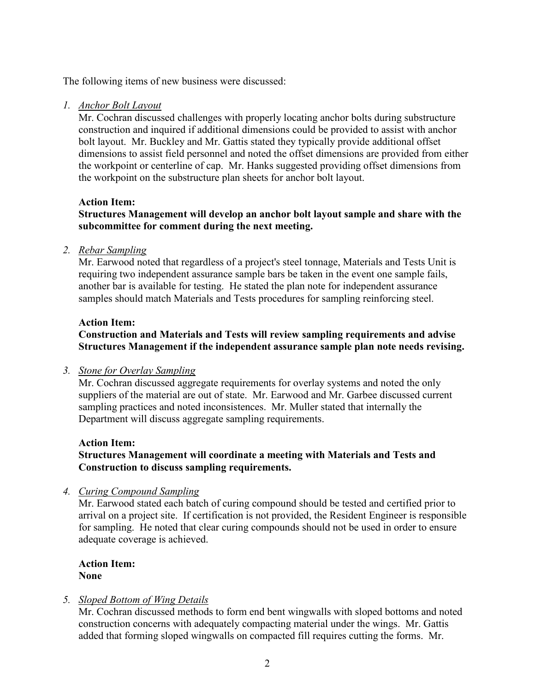The following items of new business were discussed:

#### *1. Anchor Bolt Layout*

Mr. Cochran discussed challenges with properly locating anchor bolts during substructure construction and inquired if additional dimensions could be provided to assist with anchor bolt layout. Mr. Buckley and Mr. Gattis stated they typically provide additional offset dimensions to assist field personnel and noted the offset dimensions are provided from either the workpoint or centerline of cap. Mr. Hanks suggested providing offset dimensions from the workpoint on the substructure plan sheets for anchor bolt layout.

#### **Action Item:**

## **Structures Management will develop an anchor bolt layout sample and share with the subcommittee for comment during the next meeting.**

#### *2. Rebar Sampling*

Mr. Earwood noted that regardless of a project's steel tonnage, Materials and Tests Unit is requiring two independent assurance sample bars be taken in the event one sample fails, another bar is available for testing. He stated the plan note for independent assurance samples should match Materials and Tests procedures for sampling reinforcing steel.

#### **Action Item:**

# **Construction and Materials and Tests will review sampling requirements and advise Structures Management if the independent assurance sample plan note needs revising.**

#### *3. Stone for Overlay Sampling*

Mr. Cochran discussed aggregate requirements for overlay systems and noted the only suppliers of the material are out of state. Mr. Earwood and Mr. Garbee discussed current sampling practices and noted inconsistences. Mr. Muller stated that internally the Department will discuss aggregate sampling requirements.

## **Action Item:**

# **Structures Management will coordinate a meeting with Materials and Tests and Construction to discuss sampling requirements.**

## *4. Curing Compound Sampling*

Mr. Earwood stated each batch of curing compound should be tested and certified prior to arrival on a project site. If certification is not provided, the Resident Engineer is responsible for sampling. He noted that clear curing compounds should not be used in order to ensure adequate coverage is achieved.

**Action Item: None**

## *5. Sloped Bottom of Wing Details*

Mr. Cochran discussed methods to form end bent wingwalls with sloped bottoms and noted construction concerns with adequately compacting material under the wings. Mr. Gattis added that forming sloped wingwalls on compacted fill requires cutting the forms. Mr.